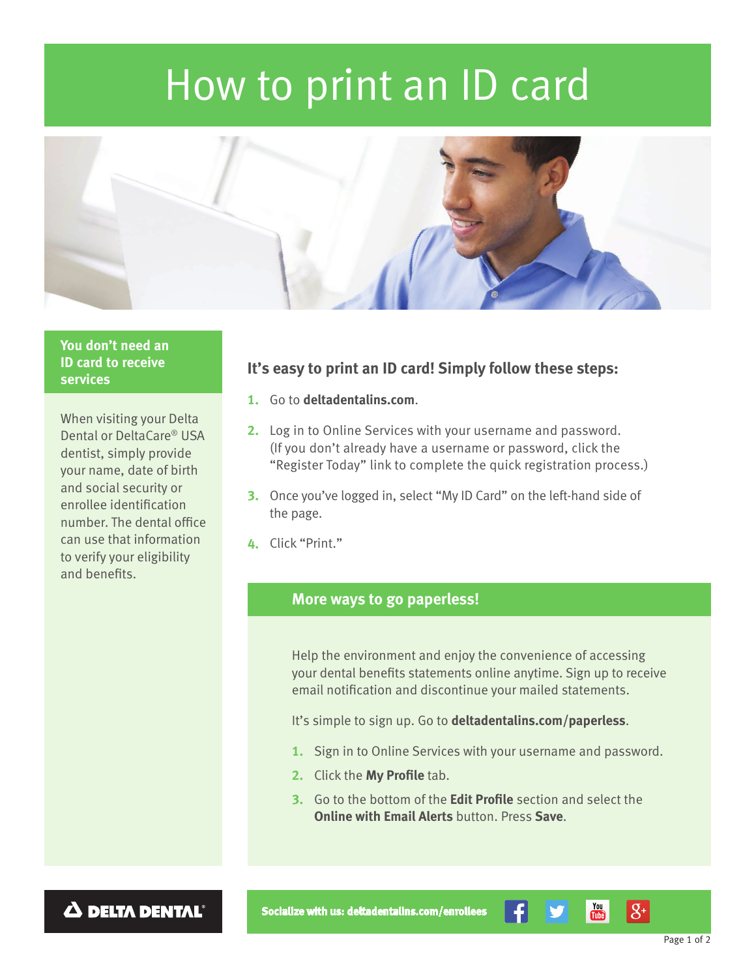# How to print an ID card



# **You don't need an ID card to receive services**

When visiting your Delta Dental or DeltaCare® USA dentist, simply provide your name, date of birth and social security or enrollee identification number. The dental office can use that information to verify your eligibility and benefits.

# **It's easy to print an ID card! Simply follow these steps:**

- **1.** Go to **deltadentalins.com**.
- **2.** Log in to Online Services with your username and password. (If you don't already have a username or password, click the "Register Today" link to complete the quick registration process.)
- **3.** Once you've logged in, select "My ID Card" on the left-hand side of the page.
- **4.** Click "Print."

# **More ways to go paperless!**

Help the environment and enjoy the convenience of accessing your dental benefits statements online anytime. Sign up to receive email notification and discontinue your mailed statements.

It's simple to sign up. Go to **deltadentalins.com/paperless**.

- **1.** Sign in to Online Services with your username and password.
- **2.** Click the **My Profile** tab.
- **3.** Go to the bottom of the **Edit Profile** section and select the **Online with Email Alerts** button. Press **Save**.

 $\Delta$  DELTA DENTAL<sup>®</sup>

**Socialize with us: [deltadentalins.com/enrollees](http://deltadentalins.com/enrollees)**

 $\overline{\mathbf{m}}$ 

 $|S^+|$